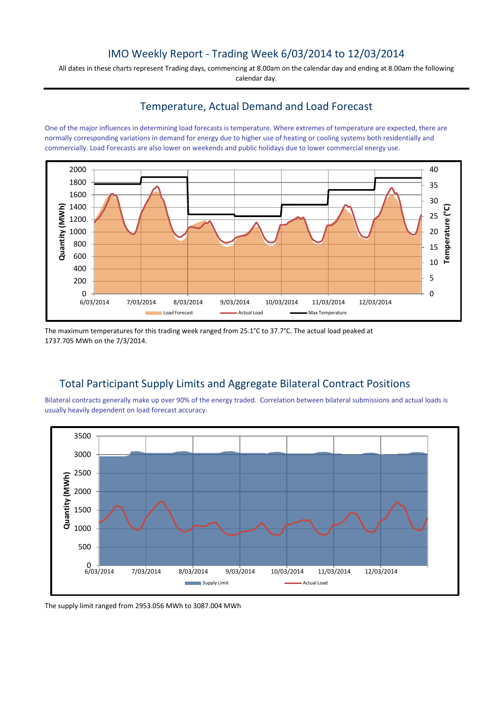## IMO Weekly Report - Trading Week 6/03/2014 to 12/03/2014

All dates in these charts represent Trading days, commencing at 8.00am on the calendar day and ending at 8.00am the following calendar day.

## Temperature, Actual Demand and Load Forecast

One of the major influences in determining load forecasts is temperature. Where extremes of temperature are expected, there are normally corresponding variations in demand for energy due to higher use of heating or cooling systems both residentially and commercially. Load Forecasts are also lower on weekends and public holidays due to lower commercial energy use.



The maximum temperatures for this trading week ranged from 25.1°C to 37.7°C. The actual load peaked at 1737.705 MWh on the 7/3/2014.

## Total Participant Supply Limits and Aggregate Bilateral Contract Positions

Bilateral contracts generally make up over 90% of the energy traded. Correlation between bilateral submissions and actual loads is usually heavily dependent on load forecast accuracy.



The supply limit ranged from 2953.056 MWh to 3087.004 MWh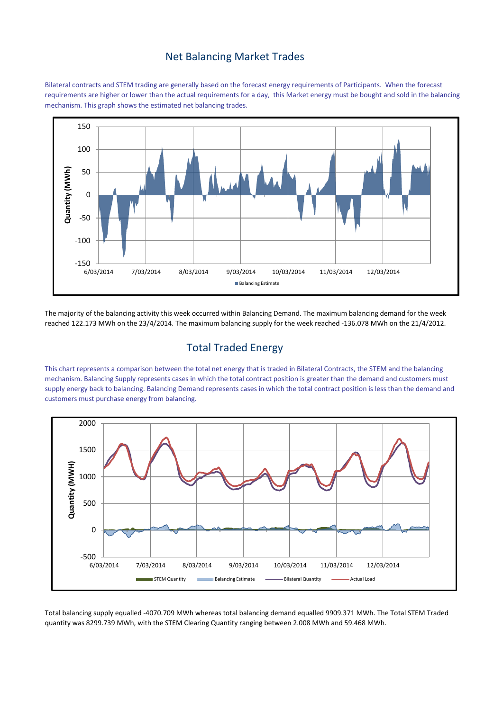#### Net Balancing Market Trades

Bilateral contracts and STEM trading are generally based on the forecast energy requirements of Participants. When the forecast requirements are higher or lower than the actual requirements for a day, this Market energy must be bought and sold in the balancing mechanism. This graph shows the estimated net balancing trades.



The majority of the balancing activity this week occurred within Balancing Demand. The maximum balancing demand for the week reached 122.173 MWh on the 23/4/2014. The maximum balancing supply for the week reached -136.078 MWh on the 21/4/2012.

# Total Traded Energy

This chart represents a comparison between the total net energy that is traded in Bilateral Contracts, the STEM and the balancing mechanism. Balancing Supply represents cases in which the total contract position is greater than the demand and customers must supply energy back to balancing. Balancing Demand represents cases in which the total contract position is less than the demand and customers must purchase energy from balancing.



Total balancing supply equalled -4070.709 MWh whereas total balancing demand equalled 9909.371 MWh. The Total STEM Traded quantity was 8299.739 MWh, with the STEM Clearing Quantity ranging between 2.008 MWh and 59.468 MWh.